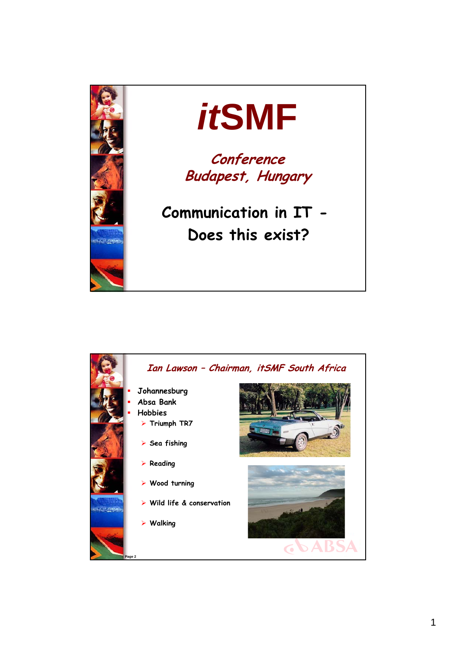

## *it***SMF**

**Conference Budapest, Hungary**

**Communication in IT - Does this exist?**

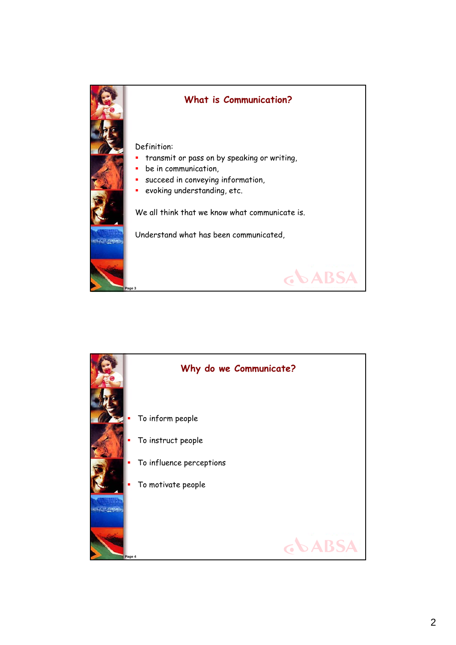

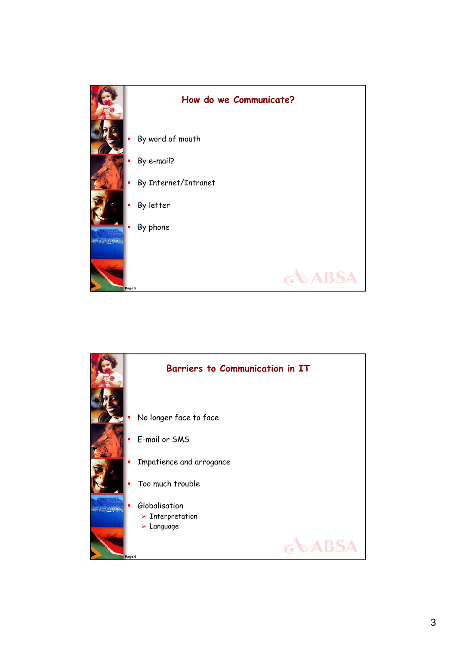

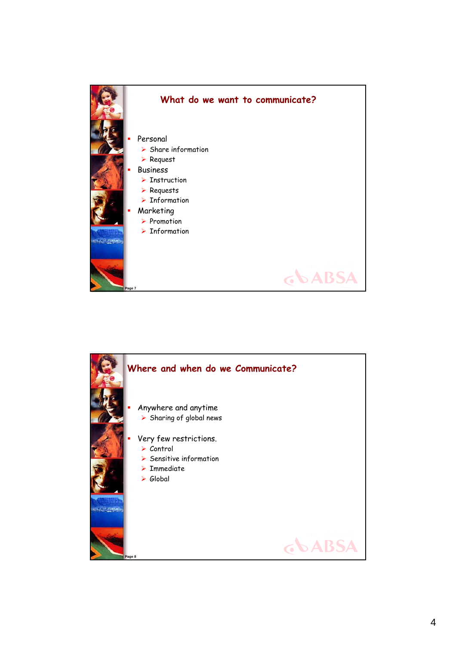

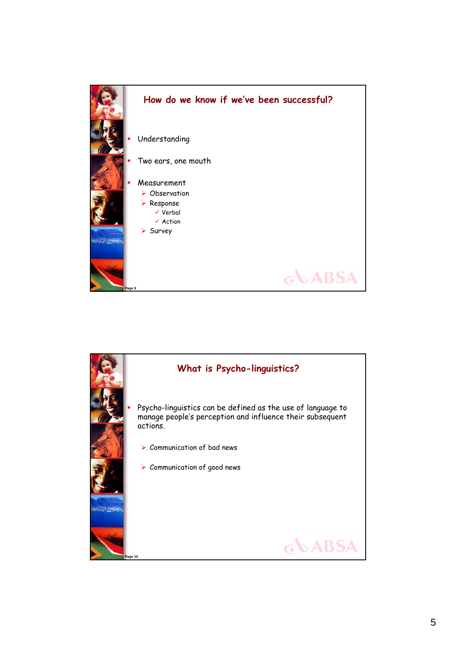

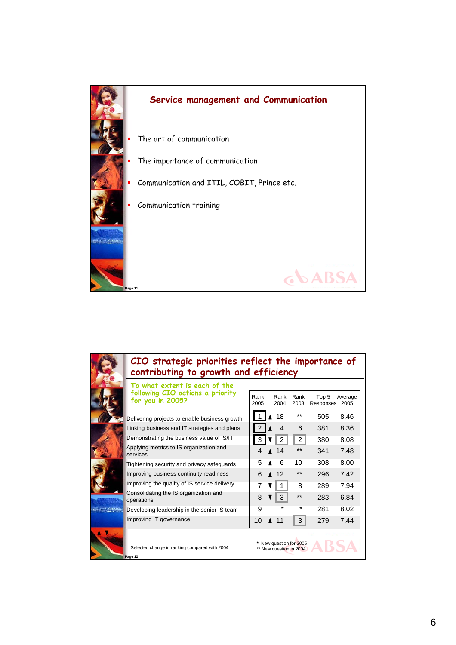

| CIO strategic priorities reflect the importance of<br>contributing to growth and efficiency |  |              |  |              |                                                    |                    |                 |  |
|---------------------------------------------------------------------------------------------|--|--------------|--|--------------|----------------------------------------------------|--------------------|-----------------|--|
| To what extent is each of the<br>following CIO actions a priority<br>for you in 2005?       |  | Rank<br>2005 |  | Rank<br>2004 | Rank<br>2003                                       | Top 5<br>Responses | Average<br>2005 |  |
| Delivering projects to enable business growth                                               |  |              |  | 18           | $**$                                               | 505                | 8.46            |  |
| Linking business and IT strategies and plans                                                |  |              |  | 4            | 6                                                  | 381                | 8.36            |  |
| Demonstrating the business value of IS/IT                                                   |  | 3            |  |              | 2                                                  | 380                | 8.08            |  |
| Applying metrics to IS organization and<br>services                                         |  | Δ            |  | 14           | $***$                                              | 341                | 7.48            |  |
| Tightening security and privacy safeguards                                                  |  | 5            |  | 6            | 10                                                 | 308                | 8.00            |  |
| Improving business continuity readiness                                                     |  | 6            |  | 12           | $***$                                              | 296                | 7.42            |  |
| Improving the quality of IS service delivery                                                |  | 7            |  | 1            | 8                                                  | 289                | 7.94            |  |
| Consolidating the IS organization and<br>operations                                         |  | 8            |  | 3            | **                                                 | 283                | 6.84            |  |
| Developing leadership in the senior IS team                                                 |  | 9            |  | $\star$      | $\star$                                            | 281                | 8.02            |  |
| Improving IT governance                                                                     |  | 10           |  | 11           | 3                                                  | 279                | 7.44            |  |
| Selected change in ranking compared with 2004<br>Page 12                                    |  |              |  |              | * New question for 2005<br>** New question in 2004 |                    |                 |  |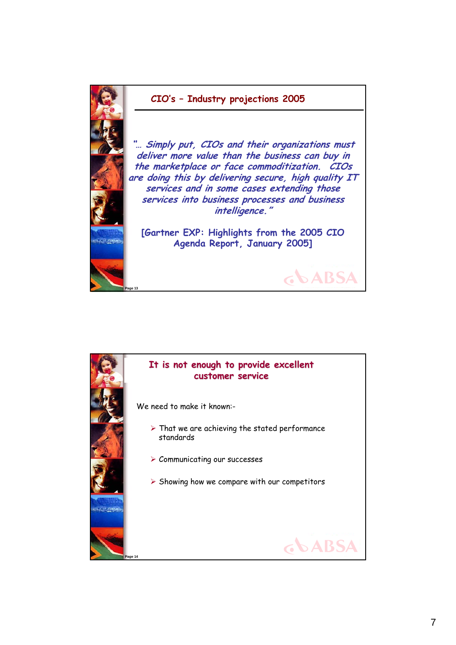